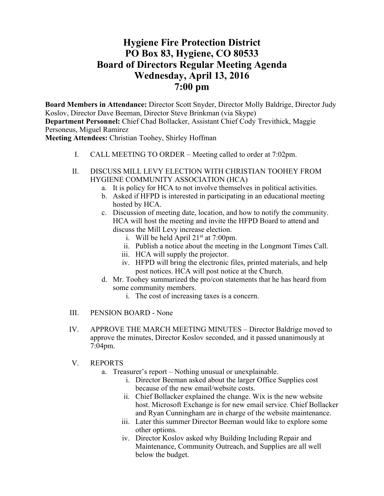# **Hygiene Fire Protection District PO Box 83, Hygiene, CO 80533 Board of Directors Regular Meeting Agenda Wednesday, April 13, 2016 7:00 pm**

**Board Members in Attendance:** Director Scott Snyder, Director Molly Baldrige, Director Judy Koslov, Director Dave Beeman, Director Steve Brinkman (via Skype) **Department Personnel:** Chief Chad Bollacker, Assistant Chief Cody Trevithick, Maggie Personeus, Miguel Ramirez

**Meeting Attendees:** Christian Toohey, Shirley Hoffman

- I. CALL MEETING TO ORDER Meeting called to order at 7:02pm.
- II. DISCUSS MILL LEVY ELECTION WITH CHRISTIAN TOOHEY FROM HYGIENE COMMUNITY ASSOCIATION (HCA)
	- a. It is policy for HCA to not involve themselves in political activities.
	- b. Asked if HFPD is interested in participating in an educational meeting hosted by HCA.
	- c. Discussion of meeting date, location, and how to notify the community. HCA will host the meeting and invite the HFPD Board to attend and discuss the Mill Levy increase election.
		- i. Will be held April  $21^{st}$  at 7:00pm.
		- ii. Publish a notice about the meeting in the Longmont Times Call.
		- iii. HCA will supply the projector.
		- iv. HFPD will bring the electronic files, printed materials, and help post notices. HCA will post notice at the Church.
	- d. Mr. Toohey summarized the pro/con statements that he has heard from some community members.
		- i. The cost of increasing taxes is a concern.
- III. PENSION BOARD None
- IV. APPROVE THE MARCH MEETING MINUTES Director Baldrige moved to approve the minutes, Director Koslov seconded, and it passed unanimously at 7:04pm.
- V. REPORTS
	- a. Treasurer's report Nothing unusual or unexplainable.
		- i. Director Beeman asked about the larger Office Supplies cost because of the new email/website costs.
		- ii. Chief Bollacker explained the change. Wix is the new website host. Microsoft Exchange is for new email service. Chief Bollacker and Ryan Cunningham are in charge of the website maintenance.
		- iii. Later this summer Director Beeman would like to explore some other options.
		- iv. Director Koslov asked why Building Including Repair and Maintenance, Community Outreach, and Supplies are all well below the budget.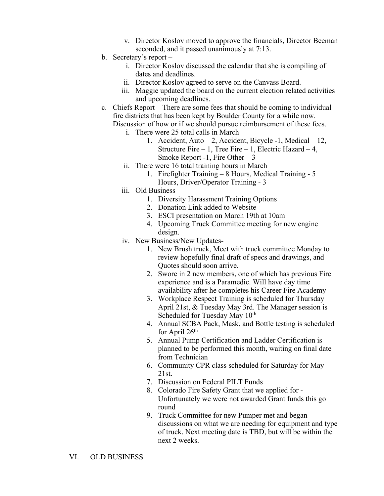- v. Director Koslov moved to approve the financials, Director Beeman seconded, and it passed unanimously at 7:13.
- b. Secretary's report
	- i. Director Koslov discussed the calendar that she is compiling of dates and deadlines.
	- ii. Director Koslov agreed to serve on the Canvass Board.
	- iii. Maggie updated the board on the current election related activities and upcoming deadlines.
- c. Chiefs Report There are some fees that should be coming to individual fire districts that has been kept by Boulder County for a while now. Discussion of how or if we should pursue reimbursement of these fees.
	- i. There were 25 total calls in March
		- 1. Accident, Auto 2, Accident, Bicycle -1, Medical 12, Structure Fire  $-1$ , Tree Fire  $-1$ , Electric Hazard  $-4$ , Smoke Report -1, Fire Other  $-3$
	- ii. There were 16 total training hours in March
		- 1. Firefighter Training 8 Hours, Medical Training 5 Hours, Driver/Operator Training - 3
	- iii. Old Business
		- 1. Diversity Harassment Training Options
		- 2. Donation Link added to Website
		- 3. ESCI presentation on March 19th at 10am
		- 4. Upcoming Truck Committee meeting for new engine design.
	- iv. New Business/New Updates-
		- 1. New Brush truck, Meet with truck committee Monday to review hopefully final draft of specs and drawings, and Quotes should soon arrive.
		- 2. Swore in 2 new members, one of which has previous Fire experience and is a Paramedic. Will have day time availability after he completes his Career Fire Academy
		- 3. Workplace Respect Training is scheduled for Thursday April 21st, & Tuesday May 3rd. The Manager session is Scheduled for Tuesday May  $10^{th}$
		- 4. Annual SCBA Pack, Mask, and Bottle testing is scheduled for April  $26<sup>th</sup>$
		- 5. Annual Pump Certification and Ladder Certification is planned to be performed this month, waiting on final date from Technician
		- 6. Community CPR class scheduled for Saturday for May 21st.
		- 7. Discussion on Federal PILT Funds
		- 8. Colorado Fire Safety Grant that we applied for Unfortunately we were not awarded Grant funds this go round
		- 9. Truck Committee for new Pumper met and began discussions on what we are needing for equipment and type of truck. Next meeting date is TBD, but will be within the next 2 weeks.
- VI. OLD BUSINESS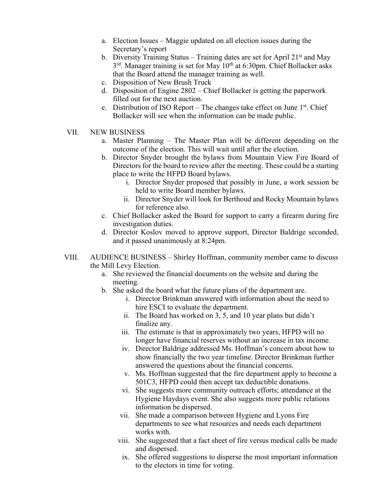- a. Election Issues Maggie updated on all election issues during the Secretary's report
- b. Diversity Training Status Training dates are set for April  $21<sup>st</sup>$  and May  $3<sup>rd</sup>$ . Manager training is set for May 10<sup>th</sup> at 6:30pm. Chief Bollacker asks that the Board attend the manager training as well.
- c. Disposition of New Brush Truck
- d. Disposition of Engine 2802 Chief Bollacker is getting the paperwork filled out for the next auction.
- e. Distribution of ISO Report The changes take effect on June  $1<sup>st</sup>$ . Chief Bollacker will see when the information can be made public.
- VII. NEW BUSINESS
	- a. Master Planning The Master Plan will be different depending on the outcome of the election. This will wait until after the election.
	- b. Director Snyder brought the bylaws from Mountain View Fire Board of Directors for the board to review after the meeting. These could be a starting place to write the HFPD Board bylaws.
		- i. Director Snyder proposed that possibly in June, a work session be held to write Board member bylaws.
		- ii. Director Snyder will look for Berthoud and Rocky Mountain bylaws for reference also.
	- c. Chief Bollacker asked the Board for support to carry a firearm during fire investigation duties.
	- d. Director Koslov moved to approve support, Director Baldrige seconded, and it passed unanimously at 8:24pm.
- VIII. AUDIENCE BUSINESS Shirley Hoffman, community member came to discuss the Mill Levy Election.
	- a. She reviewed the financial documents on the website and during the meeting.
	- b. She asked the board what the future plans of the department are.
		- i. Director Brinkman answered with information about the need to hire ESCI to evaluate the department.
		- ii. The Board has worked on 3, 5, and 10 year plans but didn't finalize any.
		- iii. The estimate is that in approximately two years, HFPD will no longer have financial reserves without an increase in tax income.
		- iv. Director Baldrige addressed Ms. Hoffman's concern about how to show financially the two year timeline. Director Brinkman further answered the questions about the financial concerns.
		- v. Ms. Hoffman suggested that the fire department apply to become a 501C3, HFPD could then accept tax deductible donations.
		- vi. She suggests more community outreach efforts; attendance at the Hygiene Haydays event. She also suggests more public relations information be dispersed.
		- vii. She made a comparison between Hygiene and Lyons Fire departments to see what resources and needs each department works with.
		- viii. She suggested that a fact sheet of fire versus medical calls be made and dispersed.
		- ix. She offered suggestions to disperse the most important information to the electors in time for voting.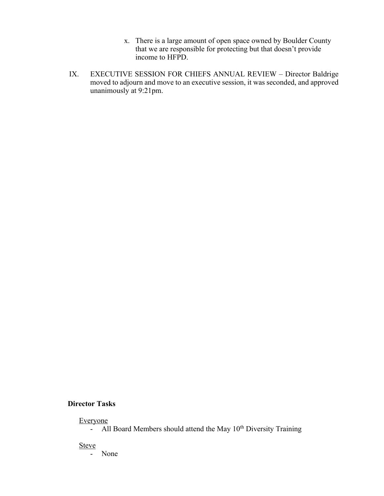- x. There is a large amount of open space owned by Boulder County that we are responsible for protecting but that doesn't provide income to HFPD.
- IX. EXECUTIVE SESSION FOR CHIEFS ANNUAL REVIEW Director Baldrige moved to adjourn and move to an executive session, it was seconded, and approved unanimously at 9:21pm.

### **Director Tasks**

#### Everyone

 $-$  All Board Members should attend the May  $10<sup>th</sup>$  Diversity Training

**Steve** 

- None